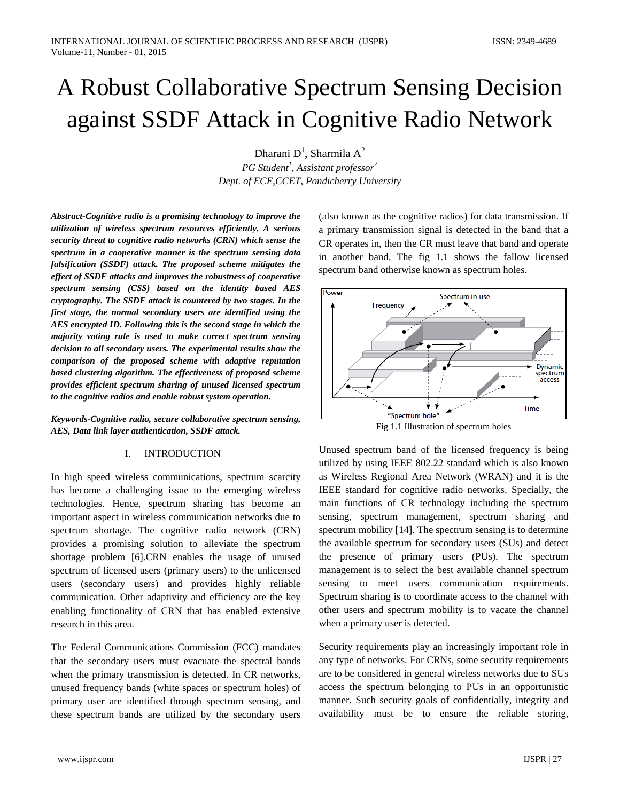# A Robust Collaborative Spectrum Sensing Decision against SSDF Attack in Cognitive Radio Network

Dharani D<sup>1</sup>, Sharmila A<sup>2</sup> *PG Student1 , Assistant professor2 Dept. of ECE,CCET, Pondicherry University*

*Abstract-Cognitive radio is a promising technology to improve the utilization of wireless spectrum resources efficiently. A serious security threat to cognitive radio networks (CRN) which sense the spectrum in a cooperative manner is the spectrum sensing data falsification (SSDF) attack. The proposed scheme mitigates the effect of SSDF attacks and improves the robustness of cooperative spectrum sensing (CSS) based on the identity based AES cryptography. The SSDF attack is countered by two stages. In the first stage, the normal secondary users are identified using the AES encrypted ID. Following this is the second stage in which the majority voting rule is used to make correct spectrum sensing decision to all secondary users. The experimental results show the comparison of the proposed scheme with adaptive reputation based clustering algorithm. The effectiveness of proposed scheme provides efficient spectrum sharing of unused licensed spectrum to the cognitive radios and enable robust system operation.*

*Keywords-Cognitive radio, secure collaborative spectrum sensing, AES, Data link layer authentication, SSDF attack.*

#### I. INTRODUCTION

In high speed wireless communications, spectrum scarcity has become a challenging issue to the emerging wireless technologies. Hence, spectrum sharing has become an important aspect in wireless communication networks due to spectrum shortage. The cognitive radio network (CRN) provides a promising solution to alleviate the spectrum shortage problem [6].CRN enables the usage of unused spectrum of licensed users (primary users) to the unlicensed users (secondary users) and provides highly reliable communication. Other adaptivity and efficiency are the key enabling functionality of CRN that has enabled extensive research in this area.

The Federal Communications Commission (FCC) mandates that the secondary users must evacuate the spectral bands when the primary transmission is detected. In CR networks, unused frequency bands (white spaces or spectrum holes) of primary user are identified through spectrum sensing, and these spectrum bands are utilized by the secondary users

(also known as the cognitive radios) for data transmission. If a primary transmission signal is detected in the band that a CR operates in, then the CR must leave that band and operate in another band. The fig 1.1 shows the fallow licensed spectrum band otherwise known as spectrum holes.



Fig 1.1 Illustration of spectrum holes

Unused spectrum band of the licensed frequency is being utilized by using IEEE 802.22 standard which is also known as Wireless Regional Area Network (WRAN) and it is the IEEE standard for cognitive radio networks. Specially, the main functions of CR technology including the spectrum sensing, spectrum management, spectrum sharing and spectrum mobility [14]. The spectrum sensing is to determine the available spectrum for secondary users (SUs) and detect the presence of primary users (PUs). The spectrum management is to select the best available channel spectrum sensing to meet users communication requirements. Spectrum sharing is to coordinate access to the channel with other users and spectrum mobility is to vacate the channel when a primary user is detected.

Security requirements play an increasingly important role in any type of networks. For CRNs, some security requirements are to be considered in general wireless networks due to SUs access the spectrum belonging to PUs in an opportunistic manner. Such security goals of confidentially, integrity and availability must be to ensure the reliable storing,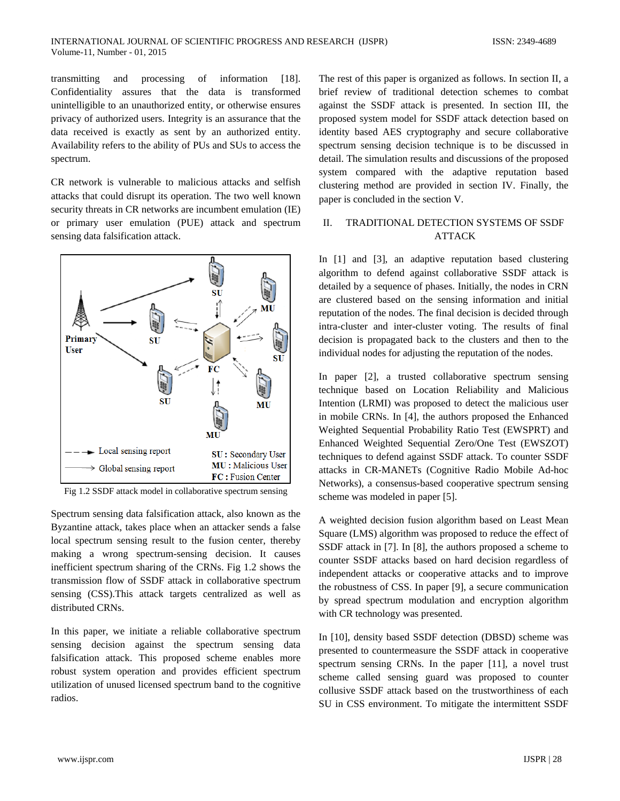transmitting and processing of information [18]. Confidentiality assures that the data is transformed unintelligible to an unauthorized entity, or otherwise ensures privacy of authorized users. Integrity is an assurance that the data received is exactly as sent by an authorized entity. Availability refers to the ability of PUs and SUs to access the spectrum.

CR network is vulnerable to malicious attacks and selfish attacks that could disrupt its operation. The two well known security threats in CR networks are incumbent emulation (IE) or primary user emulation (PUE) attack and spectrum sensing data falsification attack.



Fig 1.2 SSDF attack model in collaborative spectrum sensing

Spectrum sensing data falsification attack, also known as the Byzantine attack, takes place when an attacker sends a false local spectrum sensing result to the fusion center, thereby making a wrong spectrum-sensing decision. It causes inefficient spectrum sharing of the CRNs. Fig 1.2 shows the transmission flow of SSDF attack in collaborative spectrum sensing (CSS).This attack targets centralized as well as distributed CRNs.

In this paper, we initiate a reliable collaborative spectrum sensing decision against the spectrum sensing data falsification attack. This proposed scheme enables more robust system operation and provides efficient spectrum utilization of unused licensed spectrum band to the cognitive radios.

The rest of this paper is organized as follows. In section II, a brief review of traditional detection schemes to combat against the SSDF attack is presented. In section III, the proposed system model for SSDF attack detection based on identity based AES cryptography and secure collaborative spectrum sensing decision technique is to be discussed in detail. The simulation results and discussions of the proposed system compared with the adaptive reputation based clustering method are provided in section IV. Finally, the paper is concluded in the section V.

# II. TRADITIONAL DETECTION SYSTEMS OF SSDF ATTACK

In [1] and [3], an adaptive reputation based clustering algorithm to defend against collaborative SSDF attack is detailed by a sequence of phases. Initially, the nodes in CRN are clustered based on the sensing information and initial reputation of the nodes. The final decision is decided through intra-cluster and inter-cluster voting. The results of final decision is propagated back to the clusters and then to the individual nodes for adjusting the reputation of the nodes.

In paper [2], a trusted collaborative spectrum sensing technique based on Location Reliability and Malicious Intention (LRMI) was proposed to detect the malicious user in mobile CRNs. In [4], the authors proposed the Enhanced Weighted Sequential Probability Ratio Test (EWSPRT) and Enhanced Weighted Sequential Zero/One Test (EWSZOT) techniques to defend against SSDF attack. To counter SSDF attacks in CR-MANETs (Cognitive Radio Mobile Ad-hoc Networks), a consensus-based cooperative spectrum sensing scheme was modeled in paper [5].

A weighted decision fusion algorithm based on Least Mean Square (LMS) algorithm was proposed to reduce the effect of SSDF attack in [7]. In [8], the authors proposed a scheme to counter SSDF attacks based on hard decision regardless of independent attacks or cooperative attacks and to improve the robustness of CSS. In paper [9], a secure communication by spread spectrum modulation and encryption algorithm with CR technology was presented.

In [10], density based SSDF detection (DBSD) scheme was presented to countermeasure the SSDF attack in cooperative spectrum sensing CRNs. In the paper [11], a novel trust scheme called sensing guard was proposed to counter collusive SSDF attack based on the trustworthiness of each SU in CSS environment. To mitigate the intermittent SSDF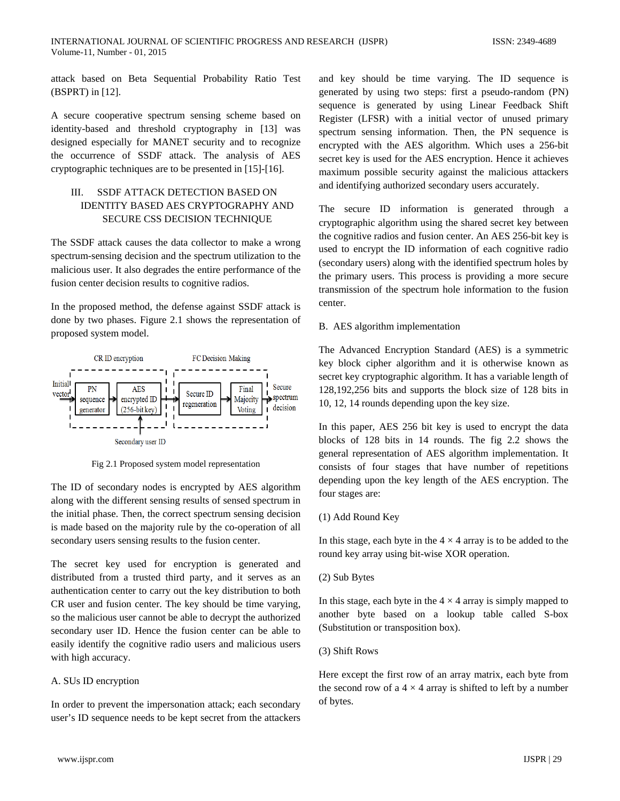attack based on Beta Sequential Probability Ratio Test (BSPRT) in [12].

A secure cooperative spectrum sensing scheme based on identity-based and threshold cryptography in [13] was designed especially for MANET security and to recognize the occurrence of SSDF attack. The analysis of AES cryptographic techniques are to be presented in [15]-[16].

# III. SSDF ATTACK DETECTION BASED ON IDENTITY BASED AES CRYPTOGRAPHY AND SECURE CSS DECISION TECHNIQUE

The SSDF attack causes the data collector to make a wrong spectrum-sensing decision and the spectrum utilization to the malicious user. It also degrades the entire performance of the fusion center decision results to cognitive radios.

In the proposed method, the defense against SSDF attack is done by two phases. Figure 2.1 shows the representation of proposed system model.



Fig 2.1 Proposed system model representation

The ID of secondary nodes is encrypted by AES algorithm along with the different sensing results of sensed spectrum in the initial phase. Then, the correct spectrum sensing decision is made based on the majority rule by the co-operation of all secondary users sensing results to the fusion center.

The secret key used for encryption is generated and distributed from a trusted third party, and it serves as an authentication center to carry out the key distribution to both CR user and fusion center. The key should be time varying, so the malicious user cannot be able to decrypt the authorized secondary user ID. Hence the fusion center can be able to easily identify the cognitive radio users and malicious users with high accuracy.

# A. SUs ID encryption

In order to prevent the impersonation attack; each secondary user's ID sequence needs to be kept secret from the attackers and key should be time varying. The ID sequence is generated by using two steps: first a pseudo-random (PN) sequence is generated by using Linear Feedback Shift Register (LFSR) with a initial vector of unused primary spectrum sensing information. Then, the PN sequence is encrypted with the AES algorithm. Which uses a 256-bit secret key is used for the AES encryption. Hence it achieves maximum possible security against the malicious attackers and identifying authorized secondary users accurately.

The secure ID information is generated through a cryptographic algorithm using the shared secret key between the cognitive radios and fusion center. An AES 256-bit key is used to encrypt the ID information of each cognitive radio (secondary users) along with the identified spectrum holes by the primary users. This process is providing a more secure transmission of the spectrum hole information to the fusion center.

# B. AES algorithm implementation

The Advanced Encryption Standard (AES) is a symmetric key block cipher algorithm and it is otherwise known as secret key cryptographic algorithm. It has a variable length of 128,192,256 bits and supports the block size of 128 bits in 10, 12, 14 rounds depending upon the key size.

In this paper, AES 256 bit key is used to encrypt the data blocks of 128 bits in 14 rounds. The fig 2.2 shows the general representation of AES algorithm implementation. It consists of four stages that have number of repetitions depending upon the key length of the AES encryption. The four stages are:

# (1) Add Round Key

In this stage, each byte in the  $4 \times 4$  array is to be added to the round key array using bit-wise XOR operation.

# (2) Sub Bytes

In this stage, each byte in the  $4 \times 4$  array is simply mapped to another byte based on a lookup table called S-box (Substitution or transposition box).

# (3) Shift Rows

Here except the first row of an array matrix, each byte from the second row of a  $4 \times 4$  array is shifted to left by a number of bytes.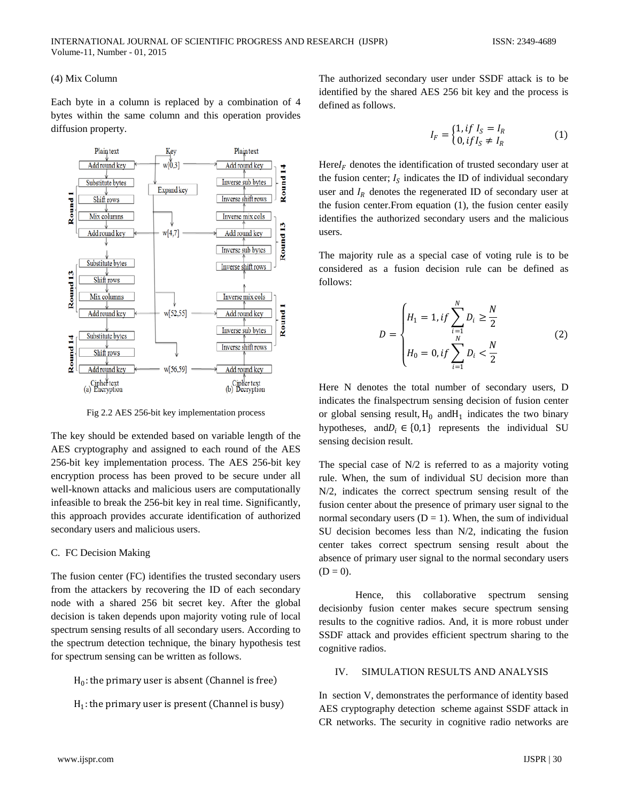### (4) Mix Column

Each byte in a column is replaced by a combination of 4 bytes within the same column and this operation provides diffusion property.



Fig 2.2 AES 256-bit key implementation process

The key should be extended based on variable length of the AES cryptography and assigned to each round of the AES 256-bit key implementation process. The AES 256-bit key encryption process has been proved to be secure under all well-known attacks and malicious users are computationally infeasible to break the 256-bit key in real time. Significantly, this approach provides accurate identification of authorized secondary users and malicious users.

#### C. FC Decision Making

The fusion center (FC) identifies the trusted secondary users from the attackers by recovering the ID of each secondary node with a shared 256 bit secret key. After the global decision is taken depends upon majority voting rule of local spectrum sensing results of all secondary users. According to the spectrum detection technique, the binary hypothesis test for spectrum sensing can be written as follows.

```
H_0: the primary user is absent (Channel is free)
```

```
H_1: the primary user is present (Channel is busy)
```
The authorized secondary user under SSDF attack is to be identified by the shared AES 256 bit key and the process is defined as follows.

$$
I_F = \begin{cases} 1, & if I_S = I_R \\ 0, & if I_S \neq I_R \end{cases} \tag{1}
$$

 $\text{Here } I_F$  denotes the identification of trusted secondary user at the fusion center;  $I_s$  indicates the ID of individual secondary user and  $I_R$  denotes the regenerated ID of secondary user at the fusion center.From equation (1), the fusion center easily identifies the authorized secondary users and the malicious users.

The majority rule as a special case of voting rule is to be considered as a fusion decision rule can be defined as follows:

$$
D = \begin{cases} H_1 = 1, & \text{if } \sum_{i=1}^{N} D_i \ge \frac{N}{2} \\ H_0 = 0, & \text{if } \sum_{i=1}^{N} D_i < \frac{N}{2} \end{cases} \tag{2}
$$

Here N denotes the total number of secondary users, D indicates the finalspectrum sensing decision of fusion center or global sensing result,  $H_0$  and  $H_1$  indicates the two binary hypotheses, and  $D_i \in \{0,1\}$  represents the individual SU sensing decision result.

The special case of N/2 is referred to as a majority voting rule. When, the sum of individual SU decision more than N/2, indicates the correct spectrum sensing result of the fusion center about the presence of primary user signal to the normal secondary users  $(D = 1)$ . When, the sum of individual SU decision becomes less than N/2, indicating the fusion center takes correct spectrum sensing result about the absence of primary user signal to the normal secondary users  $(D = 0)$ .

Hence, this collaborative spectrum sensing decisionby fusion center makes secure spectrum sensing results to the cognitive radios. And, it is more robust under SSDF attack and provides efficient spectrum sharing to the cognitive radios.

#### IV. SIMULATION RESULTS AND ANALYSIS

In section V, demonstrates the performance of identity based AES cryptography detection scheme against SSDF attack in CR networks. The security in cognitive radio networks are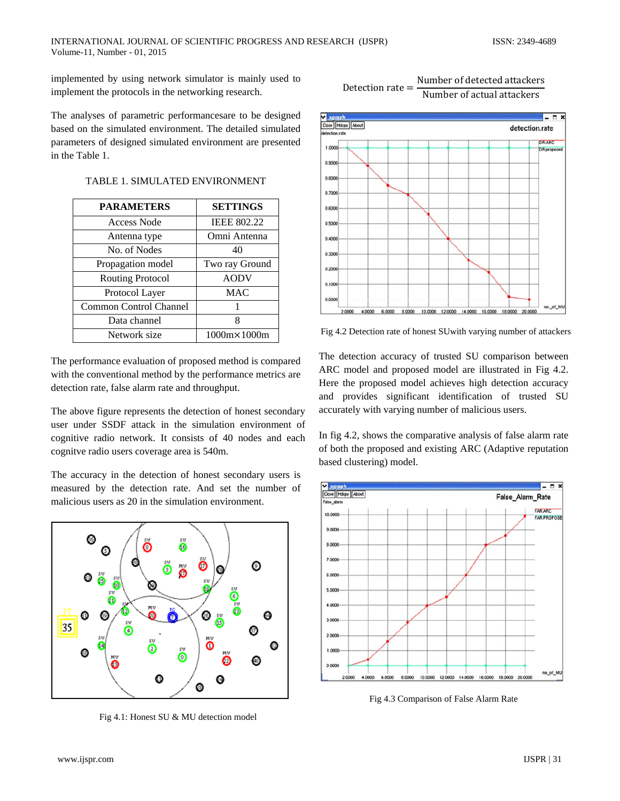implemented by using network simulator is mainly used to implement the protocols in the networking research.

The analyses of parametric performancesare to be designed based on the simulated environment. The detailed simulated parameters of designed simulated environment are presented in the Table 1.

|  |  | TABLE 1. SIMULATED ENVIRONMENT |
|--|--|--------------------------------|
|--|--|--------------------------------|

| <b>PARAMETERS</b>             | <b>SETTINGS</b>    |
|-------------------------------|--------------------|
| Access Node                   | <b>IEEE 802.22</b> |
| Antenna type                  | Omni Antenna       |
| No. of Nodes                  | 40                 |
| Propagation model             | Two ray Ground     |
| <b>Routing Protocol</b>       | <b>AODV</b>        |
| Protocol Layer                | MAC                |
| <b>Common Control Channel</b> |                    |
| Data channel                  | 8                  |
| Network size                  | 1000m×1000m        |

The performance evaluation of proposed method is compared with the conventional method by the performance metrics are detection rate, false alarm rate and throughput.

The above figure represents the detection of honest secondary user under SSDF attack in the simulation environment of cognitive radio network. It consists of 40 nodes and each cognitve radio users coverage area is 540m.

The accuracy in the detection of honest secondary users is measured by the detection rate. And set the number of malicious users as 20 in the simulation environment.



Fig 4.1: Honest SU & MU detection model





Fig 4.2 Detection rate of honest SUwith varying number of attackers

The detection accuracy of trusted SU comparison between ARC model and proposed model are illustrated in Fig 4.2. Here the proposed model achieves high detection accuracy and provides significant identification of trusted SU accurately with varying number of malicious users.

In fig 4.2, shows the comparative analysis of false alarm rate of both the proposed and existing ARC (Adaptive reputation based clustering) model.



Fig 4.3 Comparison of False Alarm Rate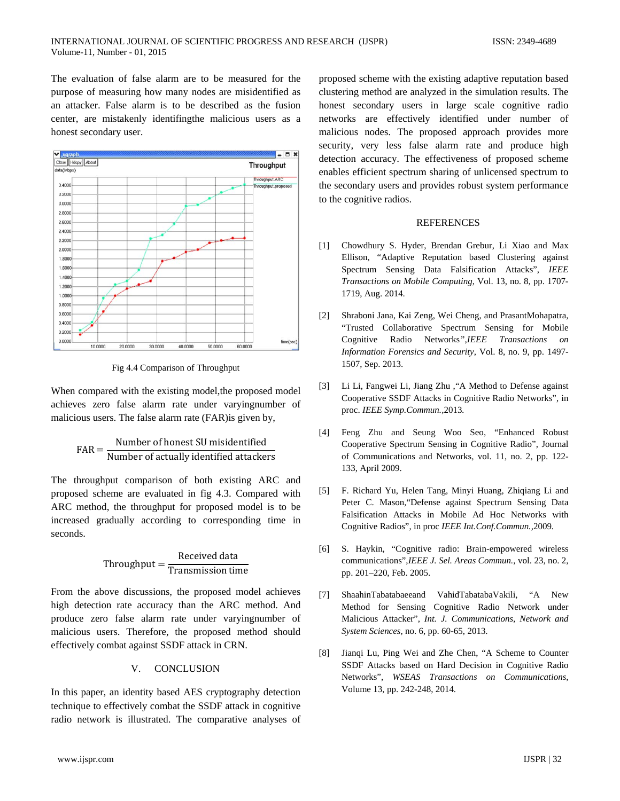The evaluation of false alarm are to be measured for the purpose of measuring how many nodes are misidentified as an attacker. False alarm is to be described as the fusion center, are mistakenly identifingthe malicious users as a honest secondary user.



Fig 4.4 Comparison of Throughput

When compared with the existing model, the proposed model achieves zero false alarm rate under varyingnumber of malicious users. The false alarm rate (FAR)is given by,

$$
FAR = \frac{Number of honest SU misidentified}{Number of actually identified attacks}
$$

The throughput comparison of both existing ARC and proposed scheme are evaluated in fig 4.3. Compared with ARC method, the throughput for proposed model is to be increased gradually according to corresponding time in seconds.

$$
Throughout = \frac{Received data}{ Transmission time}
$$

From the above discussions, the proposed model achieves high detection rate accuracy than the ARC method. And produce zero false alarm rate under varyingnumber of malicious users. Therefore, the proposed method should effectively combat against SSDF attack in CRN.

# V. CONCLUSION

In this paper, an identity based AES cryptography detection technique to effectively combat the SSDF attack in cognitive radio network is illustrated. The comparative analyses of proposed scheme with the existing adaptive reputation based clustering method are analyzed in the simulation results. The honest secondary users in large scale cognitive radio networks are effectively identified under number of malicious nodes. The proposed approach provides more security, very less false alarm rate and produce high detection accuracy. The effectiveness of proposed scheme enables efficient spectrum sharing of unlicensed spectrum to the secondary users and provides robust system performance to the cognitive radios.

### **REFERENCES**

- [1] Chowdhury S. Hyder, Brendan Grebur, Li Xiao and Max Ellison, "Adaptive Reputation based Clustering against Spectrum Sensing Data Falsification Attacks", *IEEE Transactions on Mobile Computing*, Vol. 13, no. 8, pp. 1707- 1719, Aug. 2014.
- [2] Shraboni Jana, Kai Zeng, Wei Cheng, and PrasantMohapatra*,* "Trusted Collaborative Spectrum Sensing for Mobile Cognitive Radio Networks*",IEEE Transactions on Information Forensics and Security*, Vol. 8, no. 9, pp. 1497- 1507, Sep. 2013.
- [3] Li Li, Fangwei Li, Jiang Zhu ,"A Method to Defense against Cooperative SSDF Attacks in Cognitive Radio Networks", in proc. *IEEE Symp.Commun.,*2013*.*
- [4] Feng Zhu and Seung Woo Seo, "Enhanced Robust Cooperative Spectrum Sensing in Cognitive Radio", Journal of Communications and Networks, vol. 11, no. 2, pp. 122- 133, April 2009.
- [5] F. Richard Yu, Helen Tang, Minyi Huang, Zhiqiang Li and Peter C. Mason,"Defense against Spectrum Sensing Data Falsification Attacks in Mobile Ad Hoc Networks with Cognitive Radios", in proc *IEEE Int.Conf.Commun.,*2009*.*
- [6] S. Haykin, "Cognitive radio: Brain-empowered wireless communications",*IEEE J. Sel. Areas Commun.*, vol. 23, no. 2, pp. 201–220, Feb. 2005.
- [7] ShaahinTabatabaeeand VahidTabatabaVakili, "A New Method for Sensing Cognitive Radio Network under Malicious Attacker", *Int. J. Communications*, *Network and System Sciences*, no. 6, pp. 60-65, 2013.
- [8] Jianqi Lu, Ping Wei and Zhe Chen, "A Scheme to Counter SSDF Attacks based on Hard Decision in Cognitive Radio Networks", *WSEAS Transactions on Communications*, Volume 13, pp. 242-248, 2014.